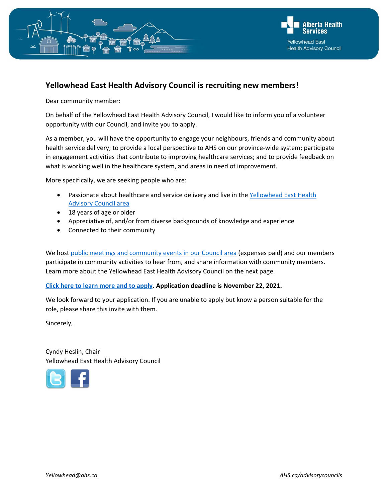



# **Yellowhead East Health Advisory Council is recruiting new members!**

Dear community member:

On behalf of the Yellowhead East Health Advisory Council, I would like to inform you of a volunteer opportunity with our Council, and invite you to apply.

As a member, you will have the opportunity to engage your neighbours, friends and community about health service delivery; to provide a local perspective to AHS on our province-wide system; participate in engagement activities that contribute to improving healthcare services; and to provide feedback on what is working well in the healthcare system, and areas in need of improvement.

More specifically, we are seeking people who are:

- Passionate about healthcare and service delivery and live in the Yellowhead East Health [Advisory Council area](https://www.albertahealthservices.ca/assets/wf/hac/wf-hac-map.pdf)
- 18 years of age or older
- Appreciative of, and/or from diverse backgrounds of knowledge and experience
- Connected to their community

We host public [meetings and community events in our Council area](https://www.albertahealthservices.ca/assets/wf/hac/wf-hac-yellowhead-meeting-dates.pdf) (expenses paid) and our members participate in community activities to hear from, and share information with community members. Learn more about the Yellowhead East Health Advisory Council on the next page.

#### **[Click here to learn more and to apply.](https://www.albertahealthservices.ca/ac/Page13631.aspx) Application deadline is November 22, 2021.**

We look forward to your application. If you are unable to apply but know a person suitable for the role, please share this invite with them.

Sincerely,

Cyndy Heslin, Chair Yellowhead East Health Advisory Council

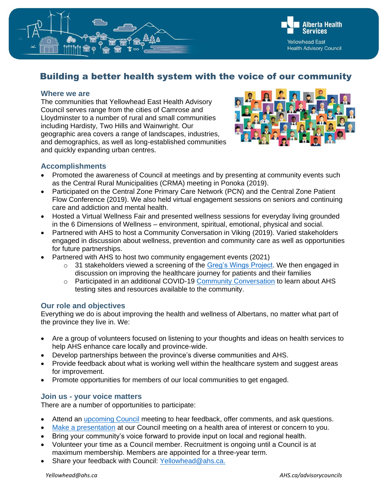

# Building a better health system with the voice of our community

#### **Where we are**

The communities that Yellowhead East Health Advisory Council serves range from the cities of Camrose and Lloydminster to a number of rural and small communities including Hardisty, Two Hills and Wainwright. Our geographic area covers a range of landscapes, industries, and demographics, as well as long-established communities and quickly expanding urban centres.



# **Accomplishments**

- Promoted the awareness of Council at meetings and by presenting at community events such as the Central Rural Municipalities (CRMA) meeting in Ponoka (2019).
- Participated on the Central Zone Primary Care Network (PCN) and the Central Zone Patient Flow Conference (2019). We also held virtual engagement sessions on seniors and continuing care and addiction and mental health.
- Hosted a Virtual Wellness Fair and presented wellness sessions for everyday living grounded in the 6 Dimensions of Wellness – environment, spiritual, emotional, physical and social.
- Partnered with AHS to host a Community Conversation in Viking (2019). Varied stakeholders engaged in discussion about wellness, prevention and community care as well as opportunities for future partnerships.
- Partnered with AHS to host two community engagement events (2021)
	- o 31 stakeholders viewed a screening of the [Greg's Wings Project.](https://gregswings.ca/) We then engaged in discussion on improving the healthcare journey for patients and their families
	- o Participated in an additional COVID-19 [Community Conversation](https://together4health.albertahealthservices.ca/communityconversations?tool=news_feed#tool_tab) to learn about AHS testing sites and resources available to the community.

# **Our role and objectives**

Everything we do is about improving the health and wellness of Albertans, no matter what part of the province they live in. We:

- Are a group of volunteers focused on listening to your thoughts and ideas on health services to help AHS enhance care locally and province-wide.
- Develop partnerships between the province's diverse communities and AHS.
- Provide feedback about what is working well within the healthcare system and suggest areas for improvement.
- Promote opportunities for members of our local communities to get engaged.

# **Join us - your voice matters**

There are a number of opportunities to participate:

- Attend an [upcoming Council](https://www.albertahealthservices.ca/assets/wf/hac/wf-hac-yellowhead-meeting-dates.pdf) meeting to hear feedback, offer comments, and ask questions.
- [Make a presentation](https://www.albertahealthservices.ca/assets/wf/hac/wf-hac-form.pdf) at our Council meeting on a health area of interest or concern to you.
- Bring your community's voice forward to provide input on local and regional health.
- Volunteer your time as a Council member. Recruitment is ongoing until a Council is at maximum membership. Members are appointed for a three-year term.
- Share your feedback with Council: [Yellowhead@ahs.ca.](mailto:Yellowhead@ahs.ca)